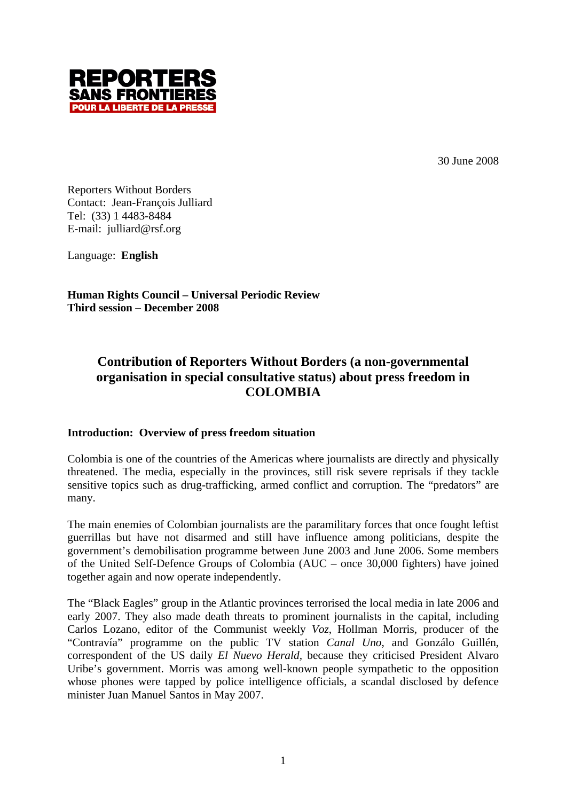

30 June 2008

Reporters Without Borders Contact: Jean-François Julliard Tel: (33) 1 4483-8484 E-mail: julliard@rsf.org

Language: **English**

**Human Rights Council – Universal Periodic Review Third session – December 2008**

# **Contribution of Reporters Without Borders (a non-governmental organisation in special consultative status) about press freedom in COLOMBIA**

#### **Introduction: Overview of press freedom situation**

Colombia is one of the countries of the Americas where journalists are directly and physically threatened. The media, especially in the provinces, still risk severe reprisals if they tackle sensitive topics such as drug-trafficking, armed conflict and corruption. The "predators" are many.

The main enemies of Colombian journalists are the paramilitary forces that once fought leftist guerrillas but have not disarmed and still have influence among politicians, despite the government's demobilisation programme between June 2003 and June 2006. Some members of the United Self-Defence Groups of Colombia (AUC – once 30,000 fighters) have joined together again and now operate independently.

The "Black Eagles" group in the Atlantic provinces terrorised the local media in late 2006 and early 2007. They also made death threats to prominent journalists in the capital, including Carlos Lozano, editor of the Communist weekly *Voz*, Hollman Morris, producer of the "Contravía" programme on the public TV station *Canal Uno*, and Gonzálo Guillén, correspondent of the US daily *El Nuevo Herald,* because they criticised President Alvaro Uribe's government. Morris was among well-known people sympathetic to the opposition whose phones were tapped by police intelligence officials, a scandal disclosed by defence minister Juan Manuel Santos in May 2007.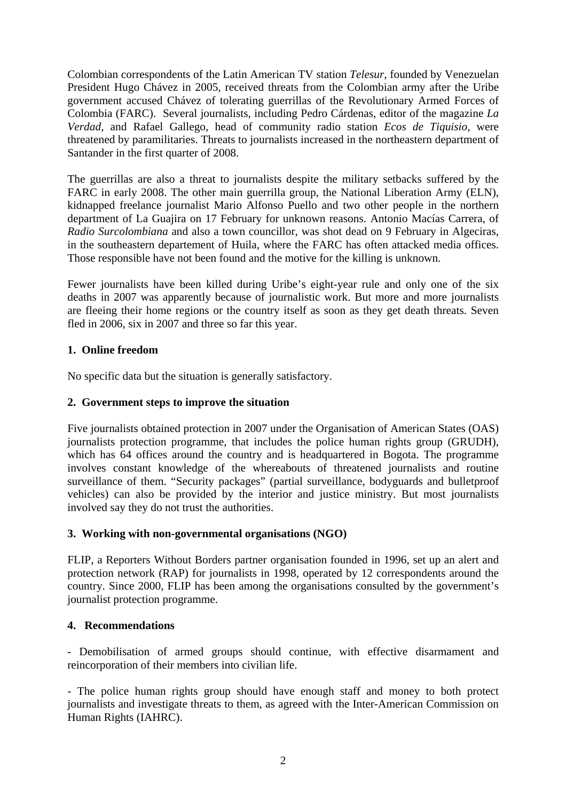Colombian correspondents of the Latin American TV station *Telesur,* founded by Venezuelan President Hugo Chávez in 2005, received threats from the Colombian army after the Uribe government accused Chávez of tolerating guerrillas of the Revolutionary Armed Forces of Colombia (FARC). Several journalists, including Pedro Cárdenas, editor of the magazine *La Verdad,* and Rafael Gallego, head of community radio station *Ecos de Tiquisio,* were threatened by paramilitaries. Threats to journalists increased in the northeastern department of Santander in the first quarter of 2008.

The guerrillas are also a threat to journalists despite the military setbacks suffered by the FARC in early 2008. The other main guerrilla group, the National Liberation Army (ELN), kidnapped freelance journalist Mario Alfonso Puello and two other people in the northern department of La Guajira on 17 February for unknown reasons. Antonio Macías Carrera, of *Radio Surcolombiana* and also a town councillor, was shot dead on 9 February in Algeciras, in the southeastern departement of Huila, where the FARC has often attacked media offices. Those responsible have not been found and the motive for the killing is unknown.

Fewer journalists have been killed during Uribe's eight-year rule and only one of the six deaths in 2007 was apparently because of journalistic work. But more and more journalists are fleeing their home regions or the country itself as soon as they get death threats. Seven fled in 2006, six in 2007 and three so far this year.

### **1. Online freedom**

No specific data but the situation is generally satisfactory.

## **2. Government steps to improve the situation**

Five journalists obtained protection in 2007 under the Organisation of American States (OAS) journalists protection programme, that includes the police human rights group (GRUDH), which has 64 offices around the country and is headquartered in Bogota. The programme involves constant knowledge of the whereabouts of threatened journalists and routine surveillance of them. "Security packages" (partial surveillance, bodyguards and bulletproof vehicles) can also be provided by the interior and justice ministry. But most journalists involved say they do not trust the authorities.

# **3. Working with non-governmental organisations (NGO)**

FLIP, a Reporters Without Borders partner organisation founded in 1996, set up an alert and protection network (RAP) for journalists in 1998, operated by 12 correspondents around the country. Since 2000, FLIP has been among the organisations consulted by the government's journalist protection programme.

### **4. Recommendations**

- Demobilisation of armed groups should continue, with effective disarmament and reincorporation of their members into civilian life.

- The police human rights group should have enough staff and money to both protect journalists and investigate threats to them, as agreed with the Inter-American Commission on Human Rights (IAHRC).